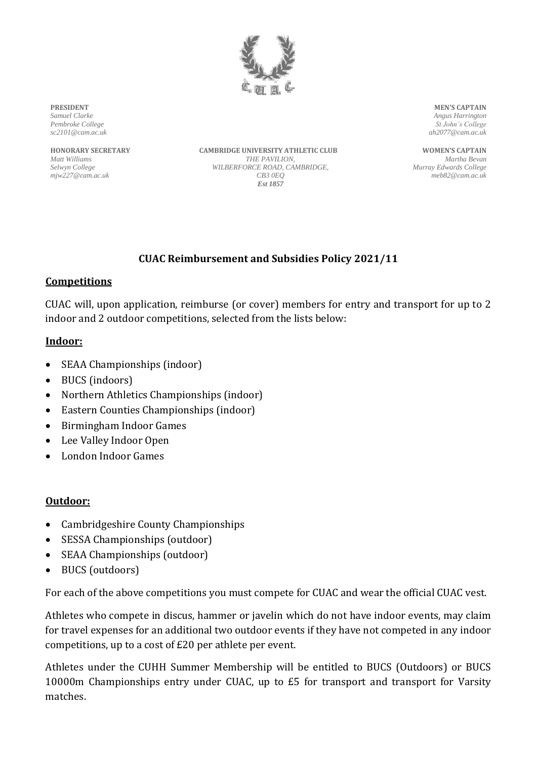

**PRESIDENT** *Samuel Clarke Pembroke College sc2101@cam.ac.uk*

**HONORARY SECRETARY** *Matt Williams Selwyn College mjw227@cam.ac.uk*

**CAMBRIDGE UNIVERSITY ATHLETIC CLUB** *THE PAVILION, WILBERFORCE ROAD, CAMBRIDGE, CB3 0EQ Est 1857*

**MEN'S CAPTAIN** *Angus Harrington St John's College ah2077@cam.ac.uk*

**WOMEN'S CAPTAIN** *Martha Bevan Murray Edwards College meb82@cam.ac.uk*

## **CUAC Reimbursement and Subsidies Policy 2021/11**

#### **Competitions**

CUAC will, upon application, reimburse (or cover) members for entry and transport for up to 2 indoor and 2 outdoor competitions, selected from the lists below:

### **Indoor:**

- SEAA Championships (indoor)
- BUCS (indoors)
- Northern Athletics Championships (indoor)
- Eastern Counties Championships (indoor)
- Birmingham Indoor Games
- Lee Valley Indoor Open
- London Indoor Games

#### **Outdoor:**

- Cambridgeshire County Championships
- SESSA Championships (outdoor)
- SEAA Championships (outdoor)
- BUCS (outdoors)

For each of the above competitions you must compete for CUAC and wear the official CUAC vest.

Athletes who compete in discus, hammer or javelin which do not have indoor events, may claim for travel expenses for an additional two outdoor events if they have not competed in any indoor competitions, up to a cost of £20 per athlete per event.

Athletes under the CUHH Summer Membership will be entitled to BUCS (Outdoors) or BUCS 10000m Championships entry under CUAC, up to £5 for transport and transport for Varsity matches.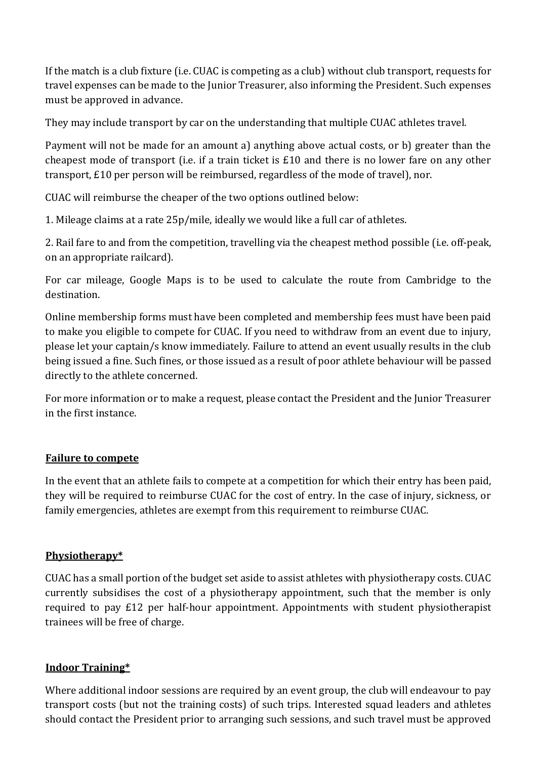If the match is a club fixture (i.e. CUAC is competing as a club) without club transport, requests for travel expenses can be made to the Junior Treasurer, also informing the President. Such expenses must be approved in advance.

They may include transport by car on the understanding that multiple CUAC athletes travel.

Payment will not be made for an amount a) anything above actual costs, or b) greater than the cheapest mode of transport (i.e. if a train ticket is £10 and there is no lower fare on any other transport, £10 per person will be reimbursed, regardless of the mode of travel), nor.

CUAC will reimburse the cheaper of the two options outlined below:

1. Mileage claims at a rate 25p/mile, ideally we would like a full car of athletes.

2. Rail fare to and from the competition, travelling via the cheapest method possible (i.e. off-peak, on an appropriate railcard).

For car mileage, Google Maps is to be used to calculate the route from Cambridge to the destination.

Online membership forms must have been completed and membership fees must have been paid to make you eligible to compete for CUAC. If you need to withdraw from an event due to injury, please let your captain/s know immediately. Failure to attend an event usually results in the club being issued a fine. Such fines, or those issued as a result of poor athlete behaviour will be passed directly to the athlete concerned.

For more information or to make a request, please contact the President and the Junior Treasurer in the first instance.

#### **Failure to compete**

In the event that an athlete fails to compete at a competition for which their entry has been paid, they will be required to reimburse CUAC for the cost of entry. In the case of injury, sickness, or family emergencies, athletes are exempt from this requirement to reimburse CUAC.

#### **Physiotherapy\***

CUAC has a small portion of the budget set aside to assist athletes with physiotherapy costs. CUAC currently subsidises the cost of a physiotherapy appointment, such that the member is only required to pay £12 per half-hour appointment. Appointments with student physiotherapist trainees will be free of charge.

#### **Indoor Training\***

Where additional indoor sessions are required by an event group, the club will endeavour to pay transport costs (but not the training costs) of such trips. Interested squad leaders and athletes should contact the President prior to arranging such sessions, and such travel must be approved